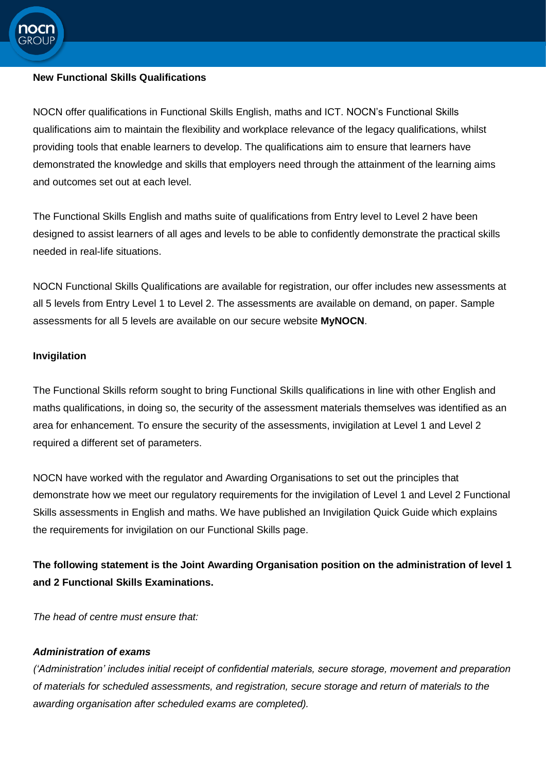

### **New Functional Skills Qualifications**

NOCN offer qualifications in Functional Skills English, maths and ICT. NOCN's Functional Skills qualifications aim to maintain the flexibility and workplace relevance of the legacy qualifications, whilst providing tools that enable learners to develop. The qualifications aim to ensure that learners have demonstrated the knowledge and skills that employers need through the attainment of the learning aims and outcomes set out at each level.

The Functional Skills English and maths suite of qualifications from Entry level to Level 2 have been designed to assist learners of all ages and levels to be able to confidently demonstrate the practical skills needed in real-life situations.

NOCN Functional Skills Qualifications are available for registration, our offer includes new assessments at all 5 levels from Entry Level 1 to Level 2. The assessments are available on demand, on paper. Sample assessments for all 5 levels are available on our secure website **MyNOCN**.

## **Invigilation**

The Functional Skills reform sought to bring Functional Skills qualifications in line with other English and maths qualifications, in doing so, the security of the assessment materials themselves was identified as an area for enhancement. To ensure the security of the assessments, invigilation at Level 1 and Level 2 required a different set of parameters.

NOCN have worked with the regulator and Awarding Organisations to set out the principles that demonstrate how we meet our regulatory requirements for the invigilation of Level 1 and Level 2 Functional Skills assessments in English and maths. We have published an Invigilation Quick Guide which explains the requirements for invigilation on our Functional Skills page.

# **The following statement is the Joint Awarding Organisation position on the administration of level 1 and 2 Functional Skills Examinations.**

*The head of centre must ensure that:*

## *Administration of exams*

*('Administration' includes initial receipt of confidential materials, secure storage, movement and preparation of materials for scheduled assessments, and registration, secure storage and return of materials to the awarding organisation after scheduled exams are completed).*